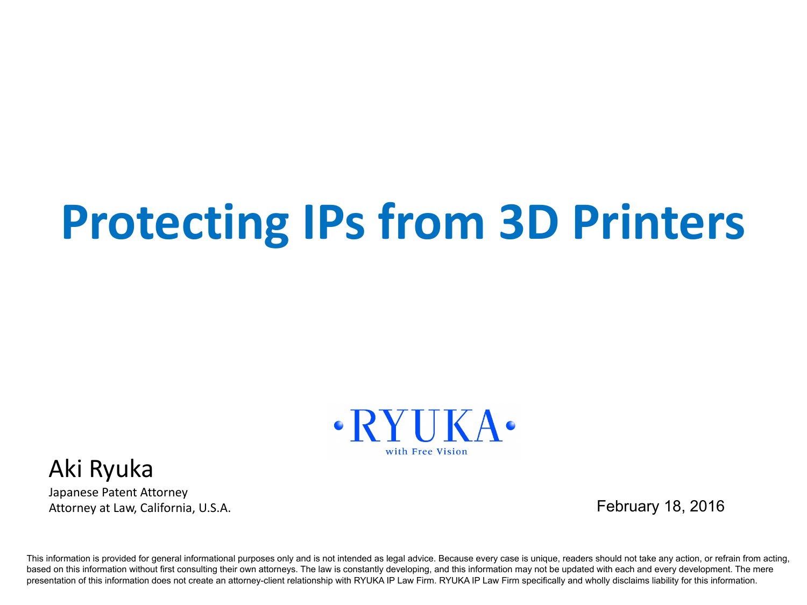# **Protecting IPs from 3D Printers**



#### Aki Ryuka

Japanese Patent Attorney Attorney at Law, California, U.S.A.

February 18, 2016

This information is provided for general informational purposes only and is not intended as legal advice. Because every case is unique, readers should not take any action, or refrain from acting, based on this information without first consulting their own attorneys. The law is constantly developing, and this information may not be updated with each and every development. The mere presentation of this information does not create an attorney-client relationship with RYUKA IP Law Firm. RYUKA IP Law Firm specifically and wholly disclaims liability for this information.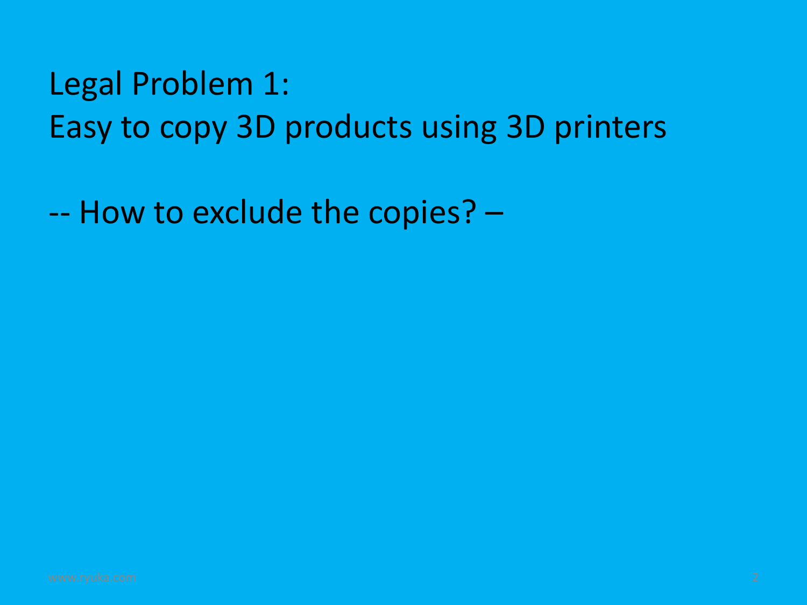### Legal Problem 1: Easy to copy 3D products using 3D printers

-- How to exclude the copies? –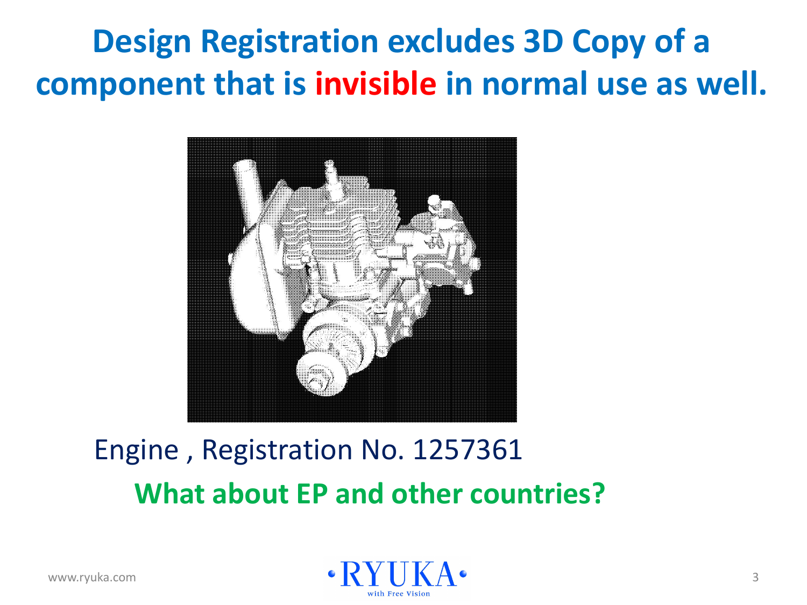**Design Registration excludes 3D Copy of a component that is invisible in normal use as well.**



#### Engine , Registration No. 1257361 **What about EP and other countries?**

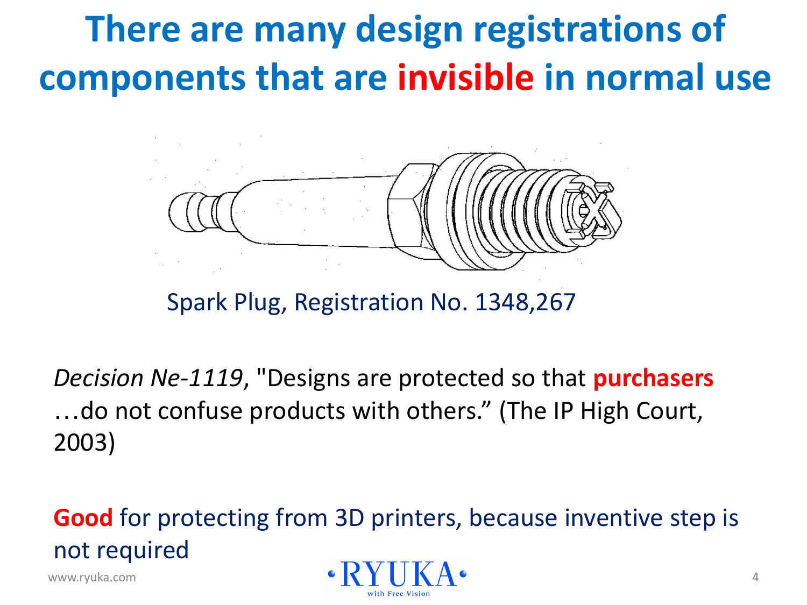## **There are many design registrations of components that are invisible in normal use**



Spark Plug, Registration No. 1348,267

*Decision Ne-1119*, "Designs are protected so that **purchasers** …do not confuse products with others." (The IP High Court, 2003)

**Good** for protecting from 3D printers, because inventive step is not required

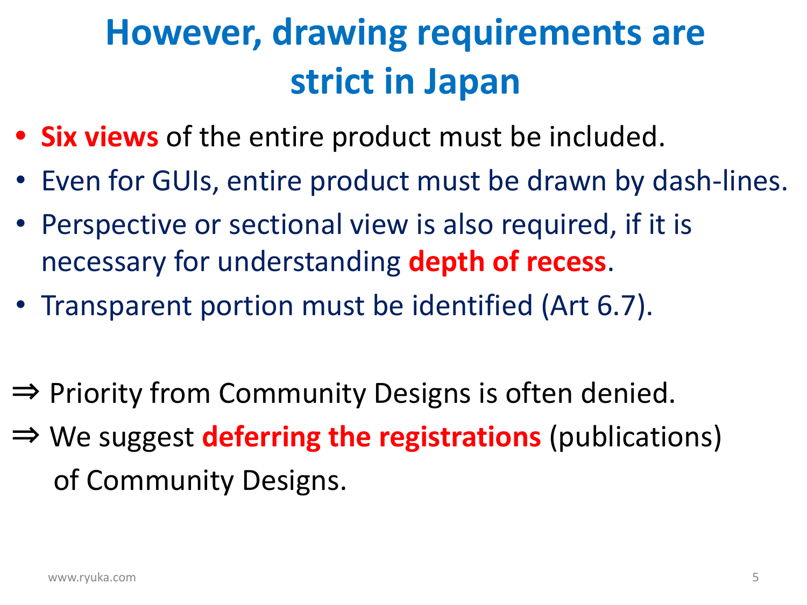## **However, drawing requirements are strict in Japan**

- **• Six views** of the entire product must be included.
- Even for GUIs, entire product must be drawn by dash-lines.
- Perspective or sectional view is also required, if it is necessary for understanding **depth of recess**.
- Transparent portion must be identified (Art 6.7).
- ⇒ Priority from Community Designs is often denied.
- ⇒ We suggest **deferring the registrations** (publications) of Community Designs.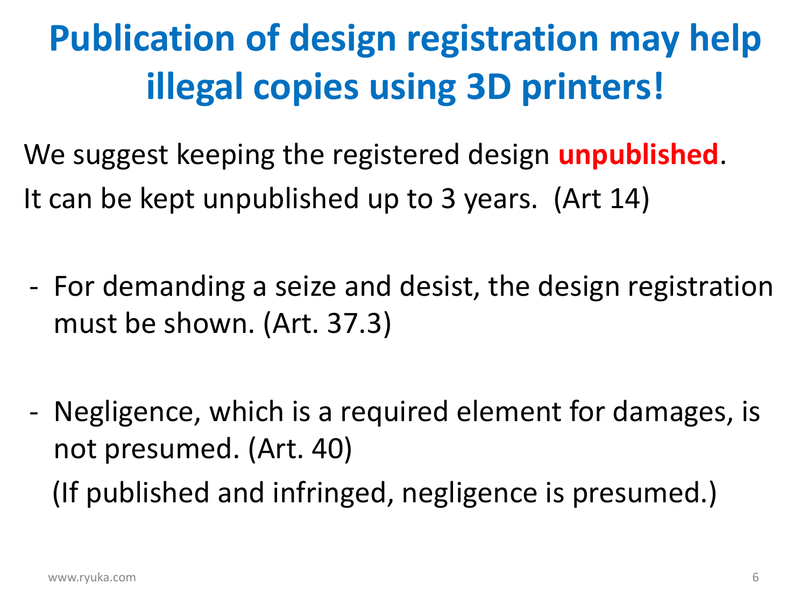## **Publication of design registration may help illegal copies using 3D printers!**

We suggest keeping the registered design **unpublished**. It can be kept unpublished up to 3 years. (Art 14)

- For demanding a seize and desist, the design registration must be shown. (Art. 37.3)
- Negligence, which is a required element for damages, is not presumed. (Art. 40) (If published and infringed, negligence is presumed.)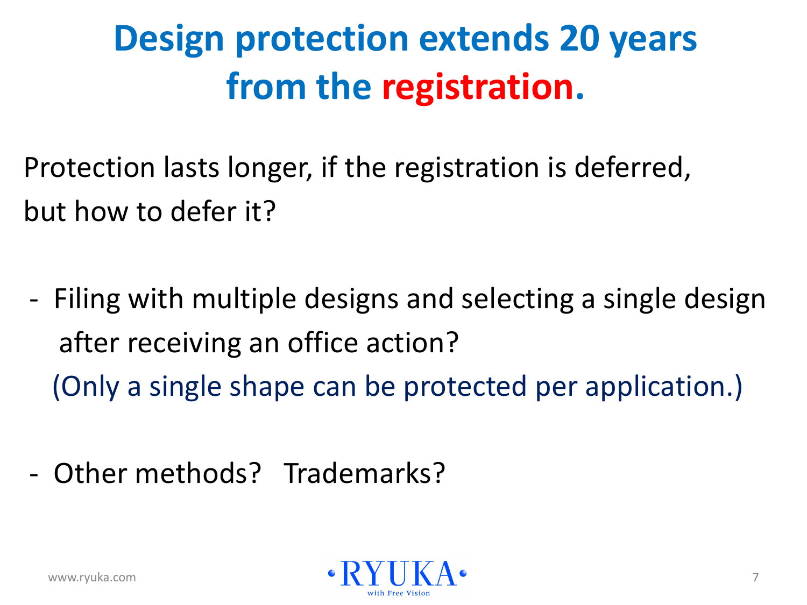## **Design protection extends 20 years from the registration.**

Protection lasts longer, if the registration is deferred, but how to defer it?

- Filing with multiple designs and selecting a single design after receiving an office action? (Only a single shape can be protected per application.)
- Other methods? Trademarks?

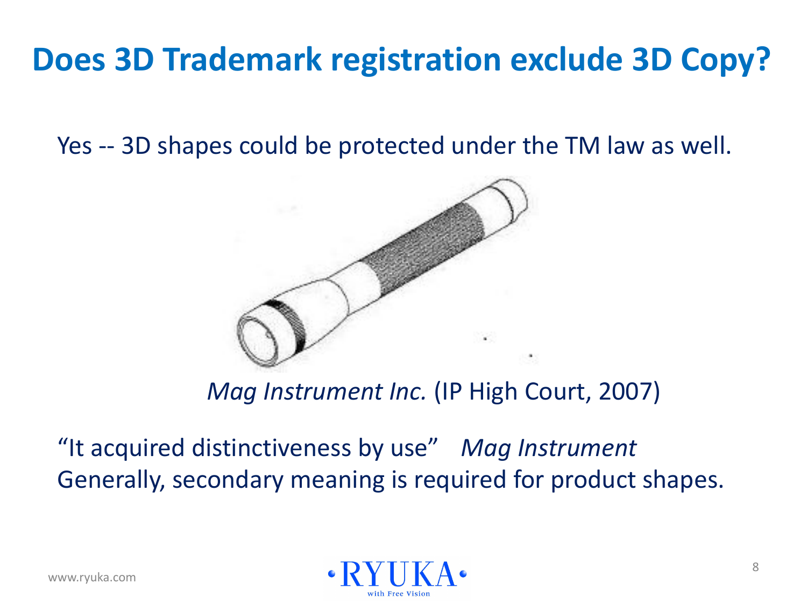### **Does 3D Trademark registration exclude 3D Copy?**

Yes -- 3D shapes could be protected under the TM law as well.



 *Mag Instrument Inc.* (IP High Court, 2007)

"It acquired distinctiveness by use" *Mag Instrument* Generally, secondary meaning is required for product shapes.

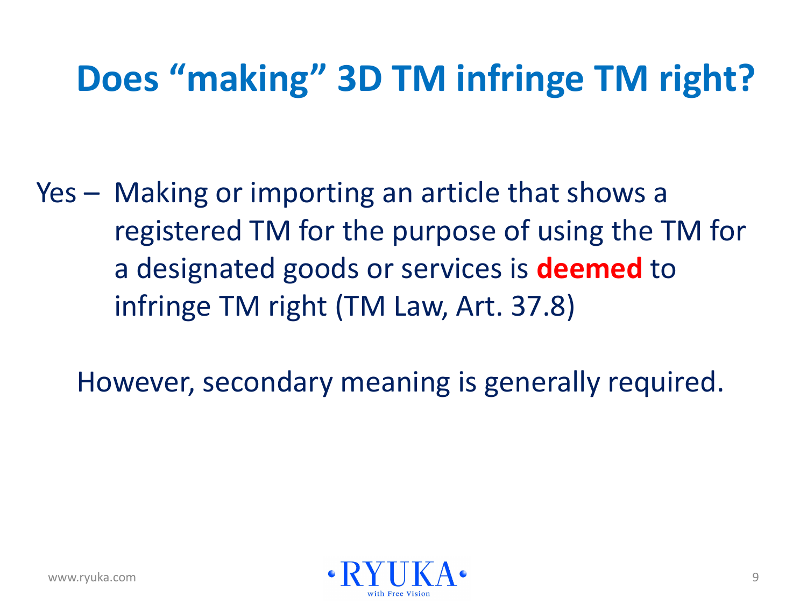## **Does "making" 3D TM infringe TM right?**

Yes – Making or importing an article that shows a registered TM for the purpose of using the TM for a designated goods or services is **deemed** to infringe TM right (TM Law, Art. 37.8)

However, secondary meaning is generally required.

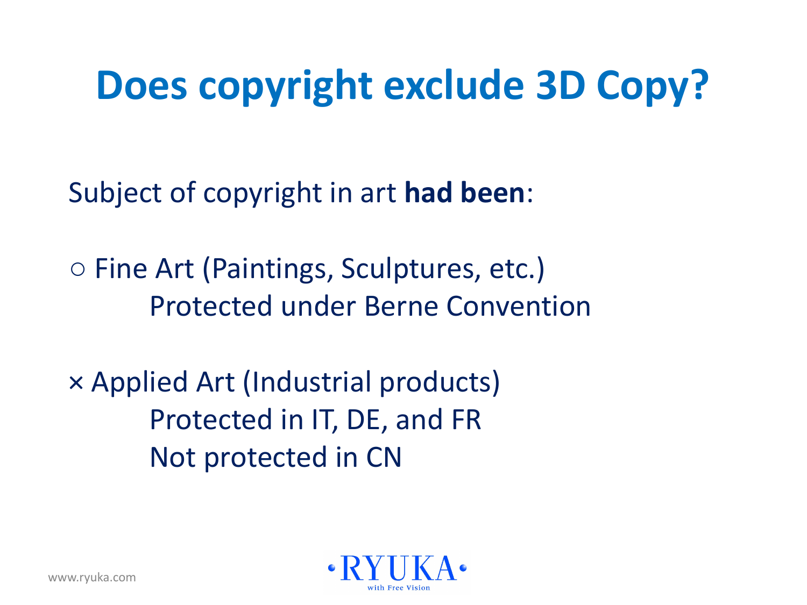## **Does copyright exclude 3D Copy?**

Subject of copyright in art **had been**:

○ Fine Art (Paintings, Sculptures, etc.) Protected under Berne Convention

× Applied Art (Industrial products) Protected in IT, DE, and FR Not protected in CN

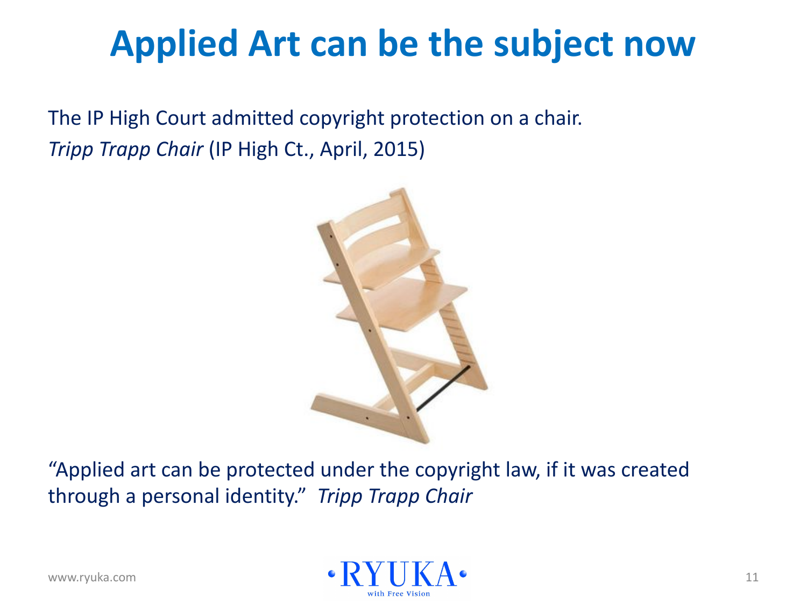## **Applied Art can be the subject now**

The IP High Court admitted copyright protection on a chair. *Tripp Trapp Chair* (IP High Ct., April, 2015)



"Applied art can be protected under the copyright law, if it was created through a personal identity." *Tripp Trapp Chair*

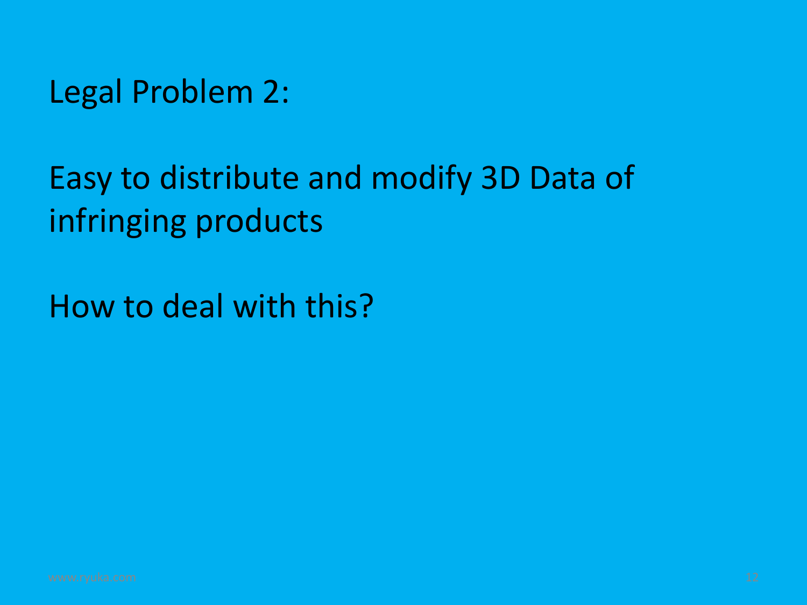Legal Problem 2:

### Easy to distribute and modify 3D Data of infringing products

How to deal with this?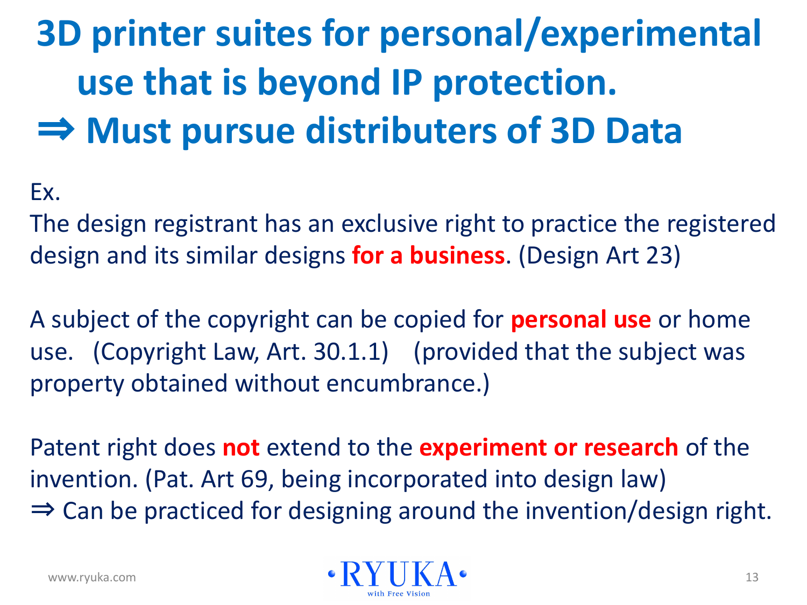## **3D printer suites for personal/experimental use that is beyond IP protection.** ⇒ **Must pursue distributers of 3D Data**

#### Ex.

The design registrant has an exclusive right to practice the registered design and its similar designs **for a business**. (Design Art 23)

A subject of the copyright can be copied for **personal use** or home use. (Copyright Law, Art. 30.1.1) (provided that the subject was property obtained without encumbrance.)

Patent right does **not** extend to the **experiment or research** of the invention. (Pat. Art 69, being incorporated into design law)  $\Rightarrow$  Can be practiced for designing around the invention/design right.

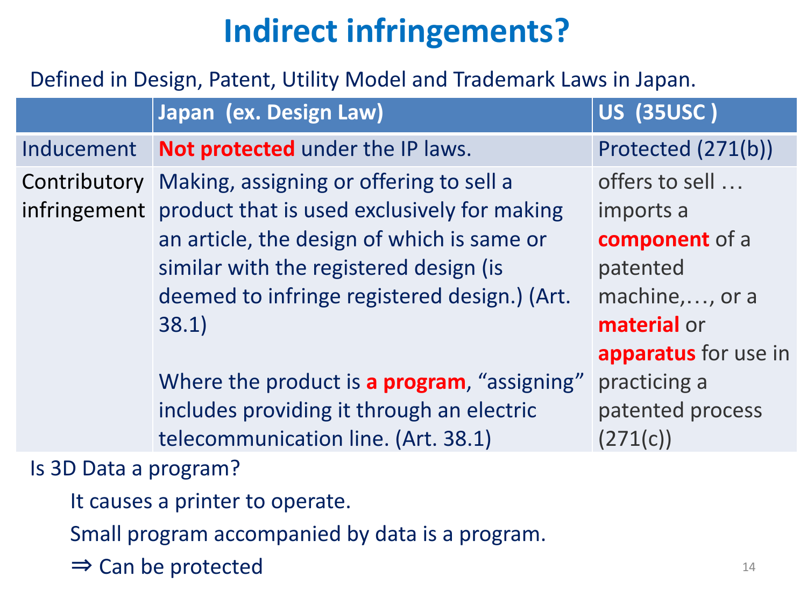### **Indirect infringements?**

#### Defined in Design, Patent, Utility Model and Trademark Laws in Japan.

|                       | Japan (ex. Design Law)                                                                                                                                                                                                                               | <b>US (35USC)</b>                                                                           |
|-----------------------|------------------------------------------------------------------------------------------------------------------------------------------------------------------------------------------------------------------------------------------------------|---------------------------------------------------------------------------------------------|
| Inducement            | Not protected under the IP laws.                                                                                                                                                                                                                     | Protected (271(b))                                                                          |
| Contributory          | Making, assigning or offering to sell a<br>infringement product that is used exclusively for making<br>an article, the design of which is same or<br>similar with the registered design (is<br>deemed to infringe registered design.) (Art.<br>38.1) | offers to sell<br>imports a<br>component of a<br>patented<br>machine, , or a<br>material or |
|                       | Where the product is a program, "assigning"<br>includes providing it through an electric<br>telecommunication line. (Art. 38.1)                                                                                                                      | apparatus for use in<br>practicing a<br>patented process<br>(271(c))                        |
| Is 3D Data a program? |                                                                                                                                                                                                                                                      |                                                                                             |

- It causes a printer to operate.
- Small program accompanied by data is a program.
- $\Rightarrow$  Can be protected 14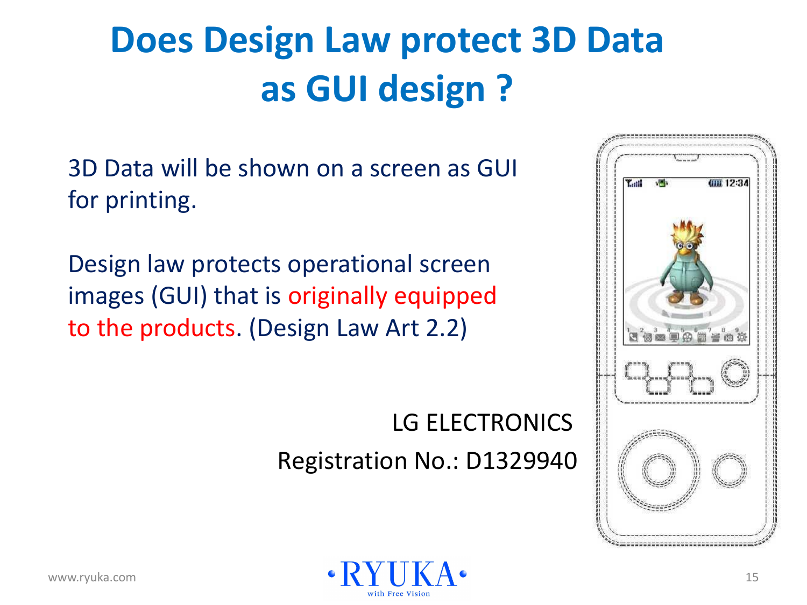## **Does Design Law protect 3D Data as GUI design ?**

3D Data will be shown on a screen as GUI for printing.

Design law protects operational screen images (GUI) that is originally equipped to the products. (Design Law Art 2.2)

#### LG ELECTRONICS Registration No.: D1329940



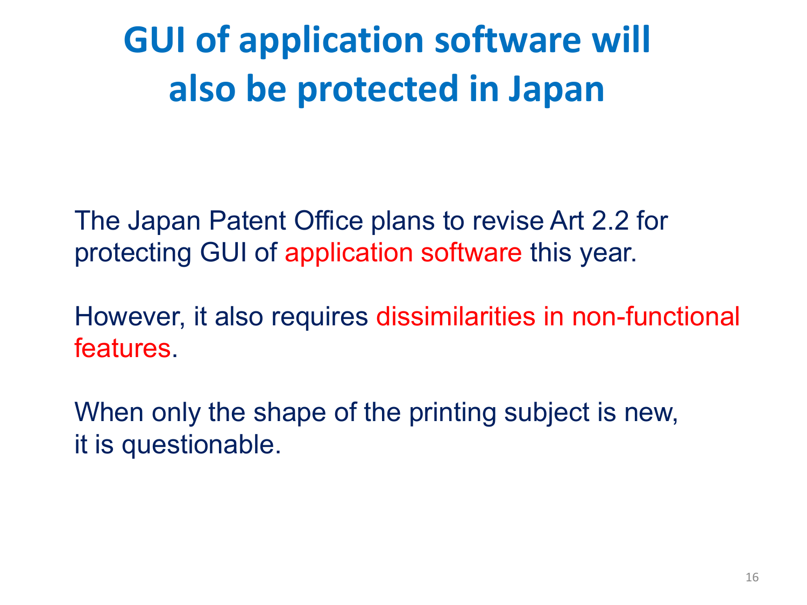**GUI of application software will also be protected in Japan**

The Japan Patent Office plans to revise Art 2.2 for protecting GUI of application software this year.

However, it also requires dissimilarities in non-functional features.

When only the shape of the printing subject is new, it is questionable.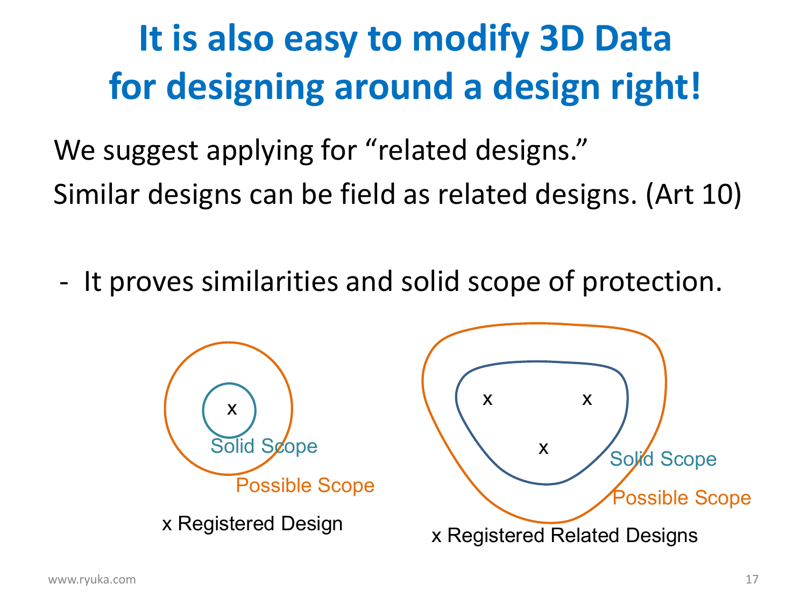## **It is also easy to modify 3D Data for designing around a design right!**

We suggest applying for "related designs." Similar designs can be field as related designs. (Art 10)

- It proves similarities and solid scope of protection.

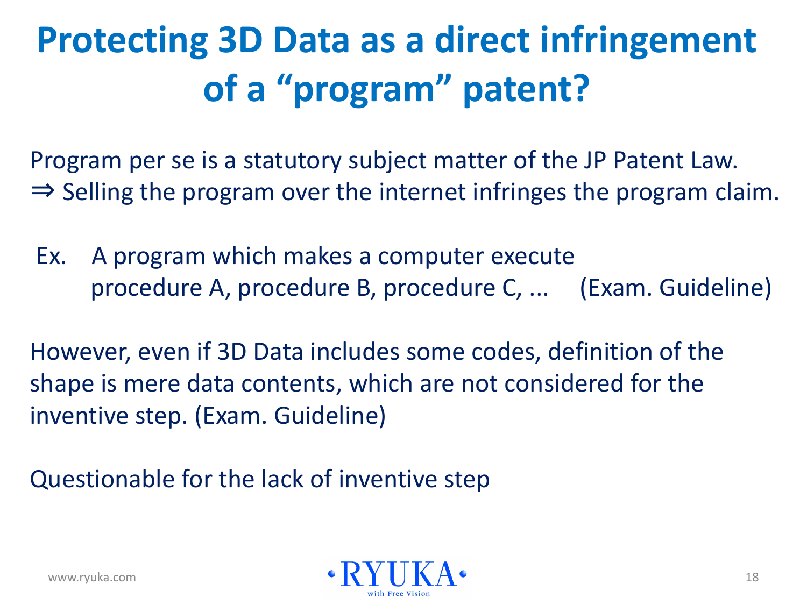## **Protecting 3D Data as a direct infringement of a "program" patent?**

Program per se is a statutory subject matter of the JP Patent Law. ⇒ Selling the program over the internet infringes the program claim.

 Ex. A program which makes a computer execute procedure A, procedure B, procedure C, ... (Exam. Guideline)

However, even if 3D Data includes some codes, definition of the shape is mere data contents, which are not considered for the inventive step. (Exam. Guideline)

Questionable for the lack of inventive step